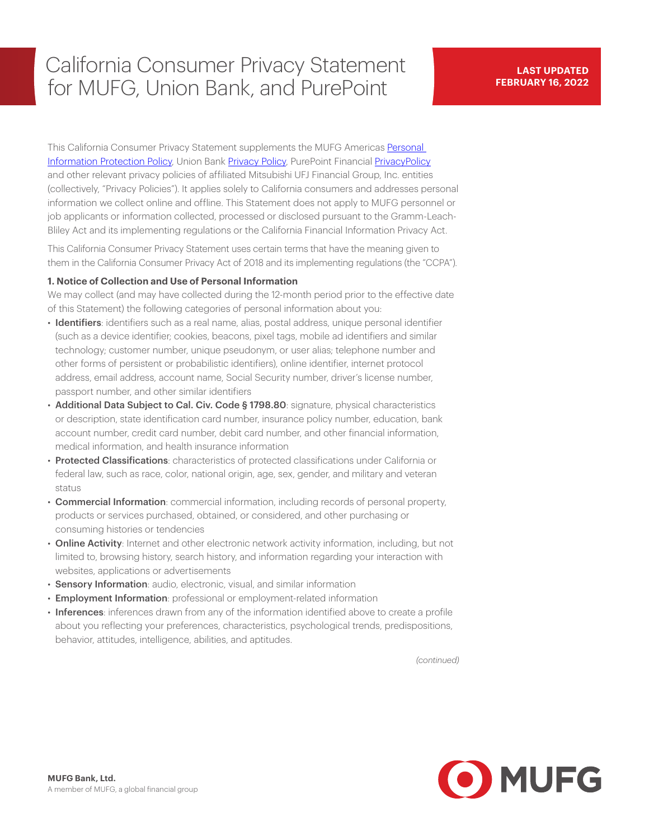# California Consumer Privacy Statement for MUFG, Union Bank, and PurePoint

This California Consumer Privacy Statement supplements the MUFG Americas [Personal](https://mufgamericas.com/personal-information-protection-policy) Information Protection Policy, Union Bank [Privacy Policy,](https://www.unionbank.com/privacy) PurePoint Financial [PrivacyPolicy](https://www.purepoint.com/online-banking/privacy) and other relevant privacy policies of affiliated Mitsubishi UFJ Financial Group, Inc. entities (collectively, "Privacy Policies"). It applies solely to California consumers and addresses personal information we collect online and offline. This Statement does not apply to MUFG personnel or job applicants or information collected, processed or disclosed pursuant to the Gramm-Leach-Bliley Act and its implementing regulations or the California Financial Information Privacy Act.

This California Consumer Privacy Statement uses certain terms that have the meaning given to them in the California Consumer Privacy Act of 2018 and its implementing regulations (the "CCPA").

### **1. Notice of Collection and Use of Personal Information**

We may collect (and may have collected during the 12-month period prior to the effective date of this Statement) the following categories of personal information about you:

- Identifiers: identifiers such as a real name, alias, postal address, unique personal identifier (such as a device identifier; cookies, beacons, pixel tags, mobile ad identifiers and similar technology; customer number, unique pseudonym, or user alias; telephone number and other forms of persistent or probabilistic identifiers), online identifier, internet protocol address, email address, account name, Social Security number, driver's license number, passport number, and other similar identifiers
- Additional Data Subject to Cal. Civ. Code § 1798.80: signature, physical characteristics or description, state identification card number, insurance policy number, education, bank account number, credit card number, debit card number, and other financial information, medical information, and health insurance information
- Protected Classifications: characteristics of protected classifications under California or federal law, such as race, color, national origin, age, sex, gender, and military and veteran status
- Commercial Information: commercial information, including records of personal property, products or services purchased, obtained, or considered, and other purchasing or consuming histories or tendencies
- Online Activity: Internet and other electronic network activity information, including, but not limited to, browsing history, search history, and information regarding your interaction with websites, applications or advertisements
- Sensory Information: audio, electronic, visual, and similar information
- Employment Information: professional or employment-related information
- Inferences: inferences drawn from any of the information identified above to create a profile about you reflecting your preferences, characteristics, psychological trends, predispositions, behavior, attitudes, intelligence, abilities, and aptitudes.

*(continued)*

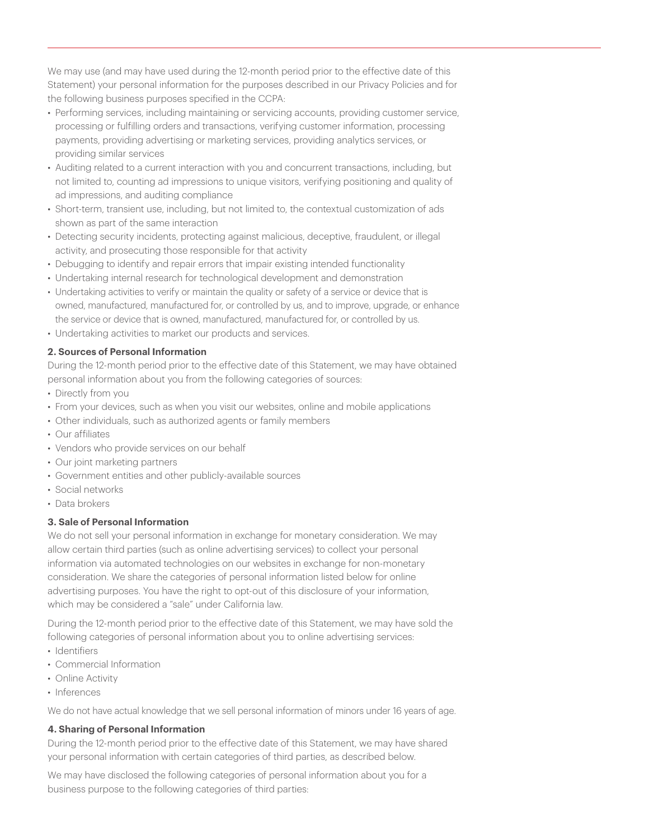We may use (and may have used during the 12-month period prior to the effective date of this Statement) your personal information for the purposes described in our Privacy Policies and for the following business purposes specified in the CCPA:

- Performing services, including maintaining or servicing accounts, providing customer service, processing or fulfilling orders and transactions, verifying customer information, processing payments, providing advertising or marketing services, providing analytics services, or providing similar services
- Auditing related to a current interaction with you and concurrent transactions, including, but not limited to, counting ad impressions to unique visitors, verifying positioning and quality of ad impressions, and auditing compliance
- Short-term, transient use, including, but not limited to, the contextual customization of ads shown as part of the same interaction
- Detecting security incidents, protecting against malicious, deceptive, fraudulent, or illegal activity, and prosecuting those responsible for that activity
- Debugging to identify and repair errors that impair existing intended functionality
- Undertaking internal research for technological development and demonstration
- Undertaking activities to verify or maintain the quality or safety of a service or device that is owned, manufactured, manufactured for, or controlled by us, and to improve, upgrade, or enhance the service or device that is owned, manufactured, manufactured for, or controlled by us.
- Undertaking activities to market our products and services.

# **2. Sources of Personal Information**

During the 12-month period prior to the effective date of this Statement, we may have obtained personal information about you from the following categories of sources:

- Directly from you
- From your devices, such as when you visit our websites, online and mobile applications
- Other individuals, such as authorized agents or family members
- Our affiliates
- Vendors who provide services on our behalf
- Our joint marketing partners
- Government entities and other publicly-available sources
- Social networks
- Data brokers

### **3. Sale of Personal Information**

We do not sell your personal information in exchange for monetary consideration. We may allow certain third parties (such as online advertising services) to collect your personal information via automated technologies on our websites in exchange for non-monetary consideration. We share the categories of personal information listed below for online advertising purposes. You have the right to opt-out of this disclosure of your information, which may be considered a "sale" under California law.

During the 12-month period prior to the effective date of this Statement, we may have sold the following categories of personal information about you to online advertising services:

- Identifiers
- Commercial Information
- Online Activity
- Inferences

We do not have actual knowledge that we sell personal information of minors under 16 years of age.

# **4. Sharing of Personal Information**

During the 12-month period prior to the effective date of this Statement, we may have shared your personal information with certain categories of third parties, as described below.

We may have disclosed the following categories of personal information about you for a business purpose to the following categories of third parties: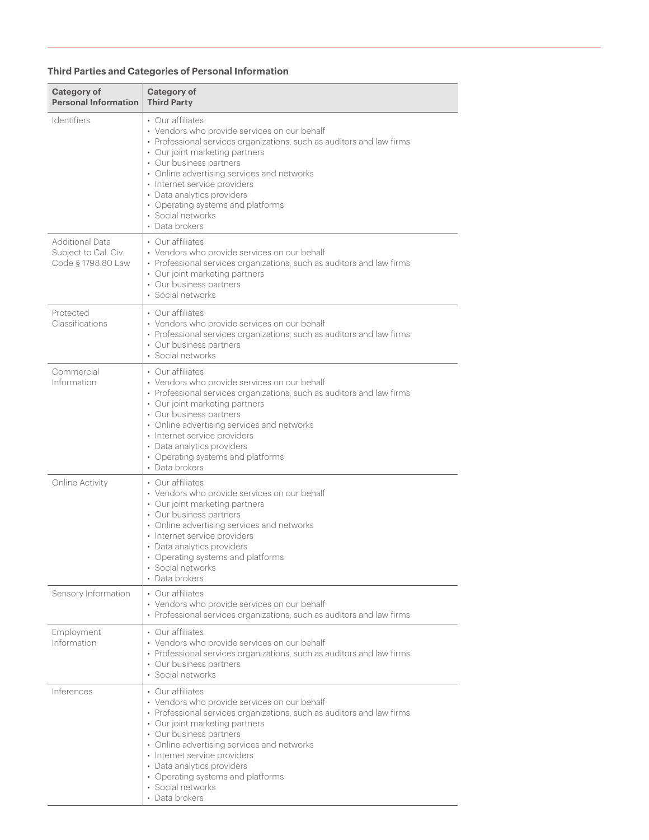# **Third Parties and Categories of Personal Information**

| Category of<br><b>Personal Information</b>                           | Category of<br><b>Third Party</b>                                                                                                                                                                                                                                                                                                                                                              |
|----------------------------------------------------------------------|------------------------------------------------------------------------------------------------------------------------------------------------------------------------------------------------------------------------------------------------------------------------------------------------------------------------------------------------------------------------------------------------|
| <b>Identifiers</b>                                                   | • Our affiliates<br>• Vendors who provide services on our behalf<br>• Professional services organizations, such as auditors and law firms<br>• Our joint marketing partners<br>• Our business partners<br>• Online advertising services and networks<br>• Internet service providers<br>• Data analytics providers<br>• Operating systems and platforms<br>• Social networks<br>• Data brokers |
| <b>Additional Data</b><br>Subject to Cal. Civ.<br>Code § 1798.80 Law | • Our affiliates<br>• Vendors who provide services on our behalf<br>• Professional services organizations, such as auditors and law firms<br>• Our joint marketing partners<br>• Our business partners<br>· Social networks                                                                                                                                                                    |
| Protected<br>Classifications                                         | • Our affiliates<br>• Vendors who provide services on our behalf<br>• Professional services organizations, such as auditors and law firms<br>• Our business partners<br>· Social networks                                                                                                                                                                                                      |
| Commercial<br>Information                                            | • Our affiliates<br>• Vendors who provide services on our behalf<br>• Professional services organizations, such as auditors and law firms<br>• Our joint marketing partners<br>• Our business partners<br>• Online advertising services and networks<br>• Internet service providers<br>• Data analytics providers<br>• Operating systems and platforms<br>• Data brokers                      |
| <b>Online Activity</b>                                               | • Our affiliates<br>• Vendors who provide services on our behalf<br>• Our joint marketing partners<br>• Our business partners<br>• Online advertising services and networks<br>• Internet service providers<br>• Data analytics providers<br>• Operating systems and platforms<br>• Social networks<br>• Data brokers                                                                          |
| Sensory Information                                                  | • Our affiliates<br>• Vendors who provide services on our behalf<br>• Professional services organizations, such as auditors and law firms                                                                                                                                                                                                                                                      |
| Employment<br>Information                                            | • Our affiliates<br>• Vendors who provide services on our behalf<br>• Professional services organizations, such as auditors and law firms<br>• Our business partners<br>· Social networks                                                                                                                                                                                                      |
| Inferences                                                           | • Our affiliates<br>• Vendors who provide services on our behalf<br>• Professional services organizations, such as auditors and law firms<br>• Our joint marketing partners<br>• Our business partners<br>• Online advertising services and networks<br>• Internet service providers<br>• Data analytics providers<br>• Operating systems and platforms<br>• Social networks<br>• Data brokers |